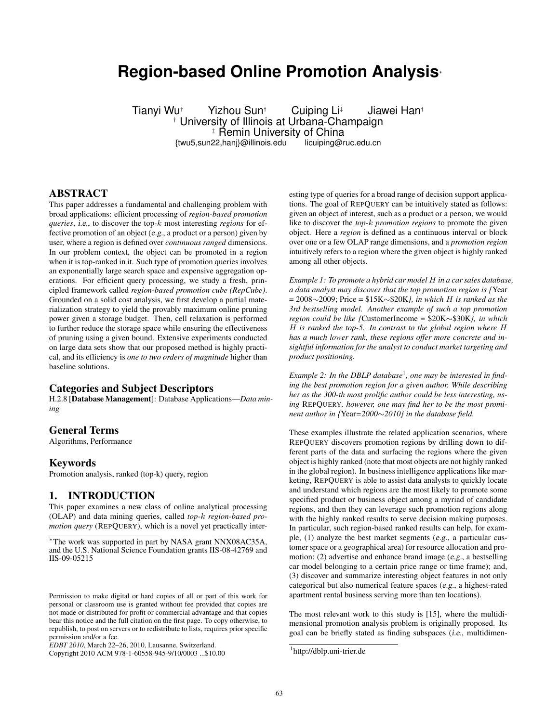# **Region-based Online Promotion Analysis**<sup>∗</sup>

Tianyi Wu† Yizhou Sun† Cuiping Li‡ Jiawei Han† † University of Illinois at Urbana-Champaign ‡ Řemin University of China<br>22.hani}@illinois.edu † licuiping@ruc.edu.cn {twu5,sun22,hanj}@illinois.edu

### ABSTRACT

This paper addresses a fundamental and challenging problem with broad applications: efficient processing of *region-based promotion queries*, i.e., to discover the top-k most interesting *regions* for effective promotion of an object (e.g., a product or a person) given by user, where a region is defined over *continuous ranged* dimensions. In our problem context, the object can be promoted in a region when it is top-ranked in it. Such type of promotion queries involves an exponentially large search space and expensive aggregation operations. For efficient query processing, we study a fresh, principled framework called *region-based promotion cube (RepCube)*. Grounded on a solid cost analysis, we first develop a partial materialization strategy to yield the provably maximum online pruning power given a storage budget. Then, cell relaxation is performed to further reduce the storage space while ensuring the effectiveness of pruning using a given bound. Extensive experiments conducted on large data sets show that our proposed method is highly practical, and its efficiency is *one to two orders of magnitude* higher than baseline solutions.

#### Categories and Subject Descriptors

H.2.8 [Database Management]: Database Applications—*Data mining*

### General Terms

Algorithms, Performance

#### Keywords

Promotion analysis, ranked (top-k) query, region

### 1. INTRODUCTION

This paper examines a new class of online analytical processing (OLAP) and data mining queries, called *top-*k *region-based promotion query* (REPQUERY), which is a novel yet practically inter-

Copyright 2010 ACM 978-1-60558-945-9/10/0003 ...\$10.00

esting type of queries for a broad range of decision support applications. The goal of REPQUERY can be intuitively stated as follows: given an object of interest, such as a product or a person, we would like to discover the *top-*k *promotion regions* to promote the given object. Here a *region* is defined as a continuous interval or block over one or a few OLAP range dimensions, and a *promotion region* intuitively refers to a region where the given object is highly ranked among all other objects.

*Example 1: To promote a hybrid car model* H *in a car sales database, a data analyst may discover that the top promotion region is {*Year = 2008∼2009; Price = \$15K∼\$20K*}, in which* H *is ranked as the 3rd bestselling model. Another example of such a top promotion region could be like {*CustomerIncome = \$20K∼\$30K*}, in which* H *is ranked the top-5. In contrast to the global region where* H *has a much lower rank, these regions offer more concrete and insightful information for the analyst to conduct market targeting and product positioning.*

Example 2: In the DBLP database<sup>1</sup>, one may be interested in find*ing the best promotion region for a given author. While describing her as the 300-th most prolific author could be less interesting, using* REPQUERY*, however, one may find her to be the most prominent author in {*Year*=2000*∼*2010} in the database field.*

These examples illustrate the related application scenarios, where REPQUERY discovers promotion regions by drilling down to different parts of the data and surfacing the regions where the given object is highly ranked (note that most objects are not highly ranked in the global region). In business intelligence applications like marketing, REPQUERY is able to assist data analysts to quickly locate and understand which regions are the most likely to promote some specified product or business object among a myriad of candidate regions, and then they can leverage such promotion regions along with the highly ranked results to serve decision making purposes. In particular, such region-based ranked results can help, for example, (1) analyze the best market segments (e.g., a particular customer space or a geographical area) for resource allocation and promotion; (2) advertise and enhance brand image (e.g., a bestselling car model belonging to a certain price range or time frame); and, (3) discover and summarize interesting object features in not only categorical but also numerical feature spaces (e.g., a highest-rated apartment rental business serving more than ten locations).

The most relevant work to this study is [15], where the multidimensional promotion analysis problem is originally proposed. Its goal can be briefly stated as finding subspaces (i.e., multidimen-

<sup>∗</sup>The work was supported in part by NASA grant NNX08AC35A, and the U.S. National Science Foundation grants IIS-08-42769 and IIS-09-05215

Permission to make digital or hard copies of all or part of this work for personal or classroom use is granted without fee provided that copies are not made or distributed for profit or commercial advantage and that copies bear this notice and the full citation on the first page. To copy otherwise, to republish, to post on servers or to redistribute to lists, requires prior specific permission and/or a fee.

*EDBT 2010*, March 22–26, 2010, Lausanne, Switzerland.

<sup>&</sup>lt;sup>1</sup>http://dblp.uni-trier.de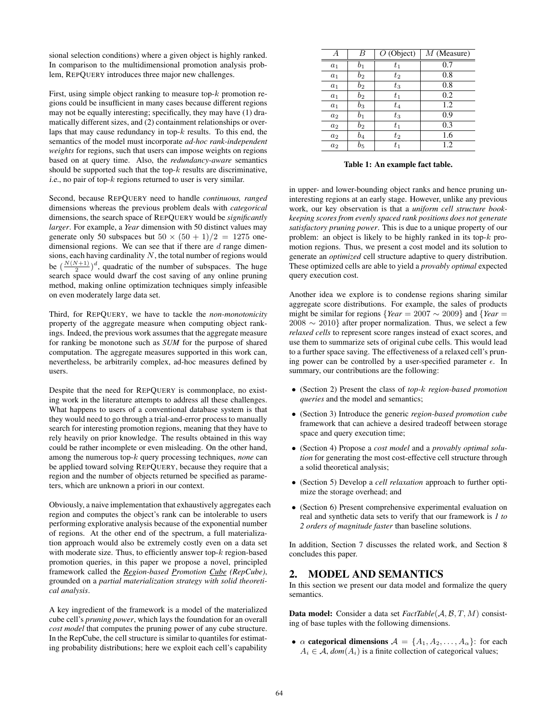sional selection conditions) where a given object is highly ranked. In comparison to the multidimensional promotion analysis problem, REPQUERY introduces three major new challenges.

First, using simple object ranking to measure top- $k$  promotion regions could be insufficient in many cases because different regions may not be equally interesting; specifically, they may have (1) dramatically different sizes, and (2) containment relationships or overlaps that may cause redundancy in top- $k$  results. To this end, the semantics of the model must incorporate *ad-hoc rank-independent weights* for regions, such that users can impose weights on regions based on at query time. Also, the *redundancy-aware* semantics should be supported such that the top- $k$  results are discriminative, i.e., no pair of top- $k$  regions returned to user is very similar.

Second, because REPQUERY need to handle *continuous, ranged* dimensions whereas the previous problem deals with *categorical* dimensions, the search space of REPQUERY would be *significantly larger*. For example, a *Year* dimension with 50 distinct values may generate only 50 subspaces but  $50 \times (50 + 1)/2 = 1275$  onedimensional regions. We can see that if there are  $d$  range dimensions, each having cardinality  $N$ , the total number of regions would be  $\left(\frac{N(N+1)}{2}\right)^d$ , quadratic of the number of subspaces. The huge search space would dwarf the cost saving of any online pruning method, making online optimization techniques simply infeasible on even moderately large data set.

Third, for REPQUERY, we have to tackle the *non-monotonicity* property of the aggregate measure when computing object rankings. Indeed, the previous work assumes that the aggregate measure for ranking be monotone such as *SUM* for the purpose of shared computation. The aggregate measures supported in this work can, nevertheless, be arbitrarily complex, ad-hoc measures defined by users.

Despite that the need for REPQUERY is commonplace, no existing work in the literature attempts to address all these challenges. What happens to users of a conventional database system is that they would need to go through a trial-and-error process to manually search for interesting promotion regions, meaning that they have to rely heavily on prior knowledge. The results obtained in this way could be rather incomplete or even misleading. On the other hand, among the numerous top-k query processing techniques, *none* can be applied toward solving REPQUERY, because they require that a region and the number of objects returned be specified as parameters, which are unknown a priori in our context.

Obviously, a naive implementation that exhaustively aggregates each region and computes the object's rank can be intolerable to users performing explorative analysis because of the exponential number of regions. At the other end of the spectrum, a full materialization approach would also be extremely costly even on a data set with moderate size. Thus, to efficiently answer top-k region-based promotion queries, in this paper we propose a novel, principled framework called the *Region-based Promotion Cube (RepCube)*, grounded on a *partial materialization strategy with solid theoretical analysis*.

A key ingredient of the framework is a model of the materialized cube cell's *pruning power*, which lays the foundation for an overall *cost model* that computes the pruning power of any cube structure. In the RepCube, the cell structure is similar to quantiles for estimating probability distributions; here we exploit each cell's capability

| А              | B              | $O$ (Object) | $M$ (Measure) |
|----------------|----------------|--------------|---------------|
|                |                |              |               |
| $a_1$          | $b_1$          | $t_1$        | 0.7           |
| a <sub>1</sub> | $b_2$          | $t_2$        | 0.8           |
| a <sub>1</sub> | $b_2$          | $t_3$        | 0.8           |
| $a_1$          | $b_2$          | $t_1$        | 0.2           |
| $a_1$          | $b_3$          | $t_{4}$      | 1.2           |
| a <sub>2</sub> | b <sub>1</sub> | $t_3$        | 0.9           |
| a <sub>2</sub> | $b_2$          | $t_1$        | 0.3           |
| a <sub>2</sub> | $b_4$          | $t_2$        | 1.6           |
| $a_2$          | $b_{5}$        | $t_{1}$      | 1.2           |
|                |                |              |               |

 $\overline{a}$ 

 $\overline{a}$ l,  $\overline{a}$  $\overline{a}$ 

Table 1: An example fact table.

in upper- and lower-bounding object ranks and hence pruning uninteresting regions at an early stage. However, unlike any previous work, our key observation is that a *uniform cell structure bookkeeping scores from evenly spaced rank positions does not generate satisfactory pruning power*. This is due to a unique property of our problem: an object is likely to be highly ranked in its top- $k$  promotion regions. Thus, we present a cost model and its solution to generate an *optimized* cell structure adaptive to query distribution. These optimized cells are able to yield a *provably optimal* expected query execution cost.

Another idea we explore is to condense regions sharing similar aggregate score distributions. For example, the sales of products might be similar for regions {*Year* = 2007 ∼ 2009} and {*Year* =  $2008 \sim 2010$ } after proper normalization. Thus, we select a few *relaxed cells* to represent score ranges instead of exact scores, and use them to summarize sets of original cube cells. This would lead to a further space saving. The effectiveness of a relaxed cell's pruning power can be controlled by a user-specified parameter  $\epsilon$ . In summary, our contributions are the following:

- (Section 2) Present the class of *top-*k *region-based promotion queries* and the model and semantics;
- (Section 3) Introduce the generic *region-based promotion cube* framework that can achieve a desired tradeoff between storage space and query execution time;
- (Section 4) Propose a *cost model* and a *provably optimal solution* for generating the most cost-effective cell structure through a solid theoretical analysis;
- (Section 5) Develop a *cell relaxation* approach to further optimize the storage overhead; and
- (Section 6) Present comprehensive experimental evaluation on real and synthetic data sets to verify that our framework is *1 to 2 orders of magnitude faster* than baseline solutions.

In addition, Section 7 discusses the related work, and Section 8 concludes this paper.

# 2. MODEL AND SEMANTICS

In this section we present our data model and formalize the query semantics.

Data model: Consider a data set *FactTable*(A, B, T, M) consisting of base tuples with the following dimensions.

•  $\alpha$  categorical dimensions  $\mathcal{A} = \{A_1, A_2, \ldots, A_\alpha\}$ : for each  $A_i \in \mathcal{A}$ ,  $dom(A_i)$  is a finite collection of categorical values;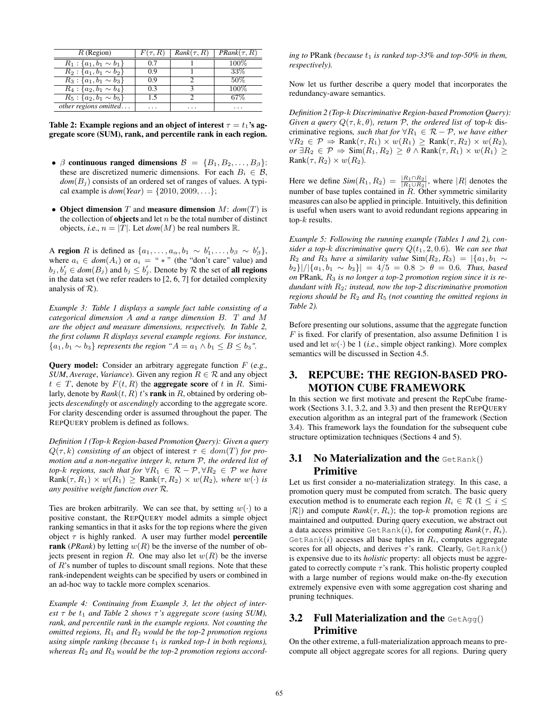| $R$ (Region)                    | $F(\tau,R)$ | $Rank(\tau, R)$ | $PRank(\tau, R)$ |
|---------------------------------|-------------|-----------------|------------------|
| $R_1$ : { $a_1, b_1 \sim b_1$ } | 0.7         |                 | $100\%$          |
| $R_2$ : { $a_1, b_1 \sim b_2$ } | 09          |                 | 33%              |
| $R_3$ : { $a_1, b_1 \sim b_3$ } | 09          |                 | 50%              |
| $R_4$ : { $a_2, b_1 \sim b_4$ } | 0 3         |                 | $100\%$          |
| $R_5$ : { $a_2, b_1 \sim b_5$ } | 1.5         |                 | 67%              |
| other regions omitted           | .           | .               | .                |

Table 2: Example regions and an object of interest  $\tau = t_1$ 's aggregate score (SUM), rank, and percentile rank in each region.

- $\beta$  continuous ranged dimensions  $\mathcal{B} = \{B_1, B_2, \ldots, B_\beta\}$ : these are discretized numeric dimensions. For each  $B_i \in \mathcal{B}$ ,  $dom(B_i)$  consists of an ordered set of ranges of values. A typical example is  $dom(Year) = \{2010, 2009, ...\}$ ;
- Object dimension T and measure dimension M: *dom*(T) is the collection of **objects** and let  $n$  be the total number of distinct objects, *i.e.*,  $n = |T|$ . Let  $dom(M)$  be real numbers R.

A region R is defined as  $\{a_1, \ldots, a_\alpha, b_1 \sim b'_1, \ldots, b_\beta \sim b'_\beta\},\$ where  $a_i \in dom(A_i)$  or  $a_i =$  "  $*$  " (the "don't care" value) and  $b_j, b'_j \in dom(B_j)$  and  $b_j \leq b'_j$ . Denote by R the set of **all regions** in the data set (we refer readers to [2, 6, 7] for detailed complexity analysis of  $R$ ).

*Example 3: Table 1 displays a sample fact table consisting of a categorical dimension* A *and a range dimension* B*.* T *and* M *are the object and measure dimensions, respectively. In Table 2, the first column* R *displays several example regions. For instance,*  ${a_1, b_1 \sim b_3}$  *represents the region* " $A = a_1 \wedge b_1 \leq B \leq b_3$ ".

**Query model:** Consider an arbitrary aggregate function  $F$  (e.g., *SUM*, *Average*, *Variance*). Given any region  $R \in \mathcal{R}$  and any object  $t \in T$ , denote by  $F(t, R)$  the **aggregate score** of t in R. Similarly, denote by  $Rank(t, R)$  t's rank in R, obtained by ordering objects *descendingly* or *ascendingly* according to the aggregate score. For clarity descending order is assumed throughout the paper. The REPQUERY problem is defined as follows.

*Definition 1 (Top-*k *Region-based Promotion Query): Given a query*  $Q(\tau, k)$  *consisting of an object of interest*  $\tau \in dom(T)$  *for promotion and a non-negative integer* k*, return* P*, the ordered list of top-k regions, such that for*  $\forall R_1 \in \mathcal{R} - \mathcal{P}, \forall R_2 \in \mathcal{P}$  *we have*  $Rank(\tau, R_1) \times w(R_1) \geq Rank(\tau, R_2) \times w(R_2)$ *, where*  $w(\cdot)$  *is any positive weight function over* R*.*

Ties are broken arbitrarily. We can see that, by setting  $w(\cdot)$  to a positive constant, the REPQUERY model admits a simple object ranking semantics in that it asks for the top regions where the given object  $\tau$  is highly ranked. A user may further model **percentile** rank (*PRank*) by letting  $w(R)$  be the inverse of the number of objects present in region R. One may also let  $w(R)$  be the inverse of R's number of tuples to discount small regions. Note that these rank-independent weights can be specified by users or combined in an ad-hoc way to tackle more complex scenarios.

*Example 4: Continuing from Example 3, let the object of interest*  $\tau$  *be*  $t_1$  *and Table 2 shows*  $\tau$ *'s aggregate score (using SUM), rank, and percentile rank in the example regions. Not counting the omitted regions,* R<sup>1</sup> *and* R<sup>2</sup> *would be the top-2 promotion regions using simple ranking (because*  $t_1$  *is ranked top-1 in both regions)*, whereas  $R_2$  and  $R_3$  would be the top-2 promotion regions accord*ing to* PRank *(because*  $t_1$  *is ranked top-33% and top-50% in them, respectively).*

Now let us further describe a query model that incorporates the redundancy-aware semantics.

*Definition 2 (Top-*k *Discriminative Region-based Promotion Query): Given a query*  $Q(\tau, k, \theta)$ *, return*  $\mathcal{P}$ *, the ordered list of top-k dis*criminative regions, *such that for*  $\forall R_1 \in \mathcal{R} - \mathcal{P}$ *, we have either*  $\forall R_2 \in \mathcal{P} \Rightarrow$  Rank $(\tau, R_1) \times w(R_1) \geq$  Rank $(\tau, R_2) \times w(R_2)$ , *or* ∃ $R_2 \in \mathcal{P}$   $\Rightarrow$  Sim( $R_1, R_2$ )  $\geq \theta$  ∧ Rank( $\tau, R_1$ )  $\times$   $w(R_1)$   $\geq$  $Rank(\tau, R_2) \times w(R_2)$ .

Here we define  $Sim(R_1, R_2) = \frac{|R_1 \cap R_2|}{|R_1 \cup R_2|}$ , where  $|R|$  denotes the number of base tuples contained in  $\tilde{R}$ . Other symmetric similarity measures can also be applied in principle. Intuitively, this definition is useful when users want to avoid redundant regions appearing in top- $k$  results.

*Example 5: Following the running example (Tables 1 and 2), consider a top-k discriminative query*  $Q(t_1, 2, 0.6)$ *. We can see that*  $R_2$  *and*  $R_3$  *have a similarity value* Sim $(R_2, R_3) = |\{a_1, b_1 \sim$ b2}|/|{a1, b<sup>1</sup> ∼ b3}| = 4/5 = 0.8 > θ = 0.6*. Thus, based on* PRank*,* R<sup>3</sup> *is no longer a top-2 promotion region since it is redundant with* R2*; instead, now the top-2 discriminative promotion regions should be*  $R_2$  *and*  $R_5$  *(not counting the omitted regions in Table 2).*

Before presenting our solutions, assume that the aggregate function  $F$  is fixed. For clarify of presentation, also assume Definition 1 is used and let  $w(\cdot)$  be 1 (*i.e.*, simple object ranking). More complex semantics will be discussed in Section 4.5.

# 3. REPCUBE: THE REGION-BASED PRO-MOTION CUBE FRAMEWORK

In this section we first motivate and present the RepCube framework (Sections 3.1, 3.2, and 3.3) and then present the REPQUERY execution algorithm as an integral part of the framework (Section 3.4). This framework lays the foundation for the subsequent cube structure optimization techniques (Sections 4 and 5).

# **3.1 No Materialization and the GetRank()** Primitive

Let us first consider a no-materialization strategy. In this case, a promotion query must be computed from scratch. The basic query execution method is to enumerate each region  $R_i \in \mathcal{R}$  (1  $\leq i \leq$  $|\mathcal{R}|$ ) and compute  $Rank(\tau, R_i)$ ; the top-k promotion regions are maintained and outputted. During query execution, we abstract out a data access primitive  $\text{GetRank}(i)$ , for computing  $\text{Rank}(\tau, R_i)$ . GetRank(i) accesses all base tuples in  $R_i$ , computes aggregate scores for all objects, and derives  $\tau$ 's rank. Clearly, GetRank() is expensive due to its *holistic* property: all objects must be aggregated to correctly compute  $\tau$ 's rank. This holistic property coupled with a large number of regions would make on-the-fly execution extremely expensive even with some aggregation cost sharing and pruning techniques.

# 3.2 Full Materialization and the  $\text{GetAqq}()$ Primitive

On the other extreme, a full-materialization approach means to precompute all object aggregate scores for all regions. During query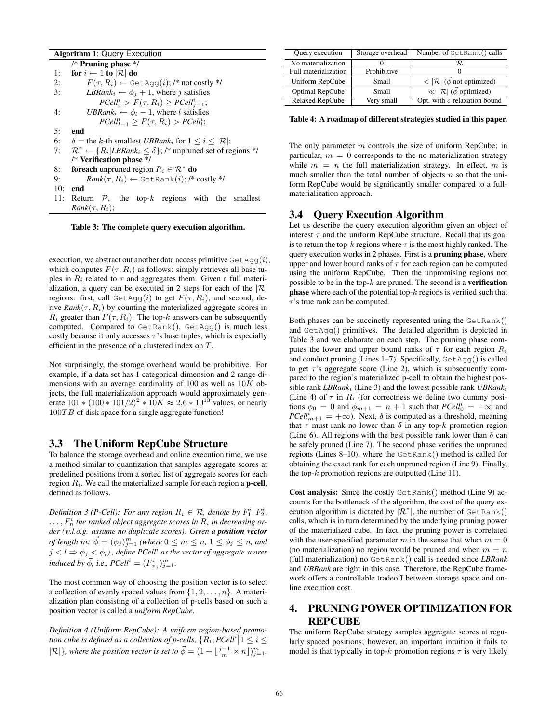#### Algorithm 1: Query Execution

|     | /* Pruning phase $*/$                                                                    |
|-----|------------------------------------------------------------------------------------------|
| 1:  | for $i \leftarrow 1$ to $ \mathcal{R} $ do                                               |
| 2:  | $F(\tau, R_i) \leftarrow$ GetAqq $(i)$ ; /* not costly */                                |
| 3:  | <i>LBRank</i> <sub>i</sub> $\leftarrow \phi_j + 1$ , where <i>j</i> satisfies            |
|     | $PCell_i^i > F(\tau, R_i) \geq PCell_{i+1}^i;$                                           |
| 4:  | UBRank <sub>i</sub> $\leftarrow \phi_l - 1$ , where l satisfies                          |
|     | $PCell_{l-1}^i \geq F(\tau, R_i) > PCell_l^i;$                                           |
| 5:  | end                                                                                      |
| 6:  | $\delta$ = the k-th smallest UBRank <sub>i</sub> for $1 \le i \le  \mathcal{R} $ ;       |
| 7:  | $\mathcal{R}^* \leftarrow \{R_i   LBRank_i \leq \delta\};$ /* unpruned set of regions */ |
|     | /* Verification phase $*/$                                                               |
| 8:  | <b>foreach</b> unpruned region $R_i \in \mathcal{R}^*$ <b>do</b>                         |
| 9:  | $Rank(\tau, R_i) \leftarrow \text{GetRank}(i);$ /* costly */                             |
| 10: | end                                                                                      |
| 11: | Return $P$ , the top-k regions with the smallest                                         |
|     | $Rank(\tau, R_i)$ ;                                                                      |

Table 3: The complete query execution algorithm.

execution, we abstract out another data access primitive  $\text{GetAqq}(i)$ , which computes  $F(\tau, R_i)$  as follows: simply retrieves all base tuples in  $R_i$  related to  $\tau$  and aggregates them. Given a full materialization, a query can be executed in 2 steps for each of the  $|\mathcal{R}|$ regions: first, call  $\det \text{Agg}(i)$  to get  $F(\tau, R_i)$ , and second, derive  $Rank(\tau, R_i)$  by counting the materialized aggregate scores in  $R_i$  greater than  $F(\tau, R_i)$ . The top-k answers can be subsequently computed. Compared to GetRank(), GetAgg() is much less costly because it only accesses  $\tau$ 's base tuples, which is especially efficient in the presence of a clustered index on T.

Not surprisingly, the storage overhead would be prohibitive. For example, if a data set has 1 categorical dimension and 2 range dimensions with an average cardinality of 100 as well as  $10K$  objects, the full materialization approach would approximately generate  $101 * (100 * 101/2)^2 * 10K \approx 2.6 * 10^{13}$  values, or nearly  $100TB$  of disk space for a single aggregate function!

#### 3.3 The Uniform RepCube Structure

To balance the storage overhead and online execution time, we use a method similar to quantization that samples aggregate scores at predefined positions from a sorted list of aggregate scores for each region  $R_i$ . We call the materialized sample for each region a **p-cell**, defined as follows.

*Definition 3 (P-Cell): For any region*  $R_i \in \mathcal{R}$ , denote by  $F_1^i, F_2^i$ ,  $\dots$ ,  $F_n^i$  the ranked object aggregate scores in  $R_i$  in decreasing or*der (w.l.o.g. assume no duplicate scores). Given a position vector of length*  $m: \vec{\phi} = (\phi_j)_{j=1}^m$  *(where*  $0 \leq m \leq n$ ,  $1 \leq \phi_j \leq n$ , and  $j < l \Rightarrow \phi_j < \phi_l$  ) , define PCell<sup>i</sup> as the vector of aggregate scores *induced by*  $\vec{\phi}$ , *i.e.*,  $PCell^i = (F^i_{\phi_j})_{j=1}^m$ .

The most common way of choosing the position vector is to select a collection of evenly spaced values from  $\{1, 2, \ldots, n\}$ . A materialization plan consisting of a collection of p-cells based on such a position vector is called a *uniform RepCube*.

Definition 4 (Uniform RepCube): A uniform region-based promo*tion cube is defined as a collection of p-cells,*  $\{R_i, PCell^i | 1 \leq i \leq n\}$  $|\mathcal{R}|$ }*, where the position vector is set to*  $\vec{\phi} = (1 + \lfloor \frac{j-1}{m} \times n \rfloor)_{j=1}^m$ *.* 

| Query execution        | Storage overhead | Number of GetRank() calls                                     |
|------------------------|------------------|---------------------------------------------------------------|
| No materialization     |                  | $\cal R$ l                                                    |
| Full materialization   | Prohibitive      |                                                               |
| Uniform RepCube        | Small            | $\leq  \mathcal{R}  (\vec{\phi} \text{ not optimized})$       |
| Optimal RepCube        | Small            | $\overline{\ll  \mathcal{R}  (\vec{\phi} \text{ optimized})}$ |
| <b>Relaxed RepCube</b> | Very small       | Opt. with $\epsilon$ -relaxation bound                        |

Table 4: A roadmap of different strategies studied in this paper.

The only parameter  $m$  controls the size of uniform RepCube; in particular,  $m = 0$  corresponds to the no materialization strategy while  $m = n$  the full materialization strategy. In effect, m is much smaller than the total number of objects  $n$  so that the uniform RepCube would be significantly smaller compared to a fullmaterialization approach.

### 3.4 Query Execution Algorithm

Let us describe the query execution algorithm given an object of interest  $\tau$  and the uniform RepCube structure. Recall that its goal is to return the top-k regions where  $\tau$  is the most highly ranked. The query execution works in 2 phases. First is a pruning phase, where upper and lower bound ranks of  $\tau$  for each region can be computed using the uniform RepCube. Then the unpromising regions not possible to be in the top- $k$  are pruned. The second is a verification **phase** where each of the potential top- $k$  regions is verified such that  $\tau$ 's true rank can be computed.

Both phases can be succinctly represented using the GetRank() and GetAgg() primitives. The detailed algorithm is depicted in Table 3 and we elaborate on each step. The pruning phase computes the lower and upper bound ranks of  $\tau$  for each region  $R_i$ and conduct pruning (Lines 1–7). Specifically,  $GetAqq()$  is called to get  $\tau$ 's aggregate score (Line 2), which is subsequently compared to the region's materialized p-cell to obtain the highest possible rank *LBRank*<sup>i</sup> (Line 3) and the lowest possible rank *UBRank*<sup>i</sup> (Line 4) of  $\tau$  in  $R_i$  (for correctness we define two dummy positions  $\phi_0 = 0$  and  $\phi_{m+1} = n + 1$  such that  $PCell_0^i = -\infty$  and  $PCell_{m+1}^i = +\infty$ ). Next,  $\delta$  is computed as a threshold, meaning that  $\tau$  must rank no lower than  $\delta$  in any top-k promotion region (Line 6). All regions with the best possible rank lower than  $\delta$  can be safely pruned (Line 7). The second phase verifies the unpruned regions (Lines 8–10), where the GetRank() method is called for obtaining the exact rank for each unpruned region (Line 9). Finally, the top- $k$  promotion regions are outputted (Line 11).

Cost analysis: Since the costly GetRank() method (Line 9) accounts for the bottleneck of the algorithm, the cost of the query execution algorithm is dictated by  $\mathcal{R}^*$ , the number of GetRank() calls, which is in turn determined by the underlying pruning power of the materialized cube. In fact, the pruning power is correlated with the user-specified parameter m in the sense that when  $m = 0$ (no materialization) no region would be pruned and when  $m = n$ (full materialization) no GetRank() call is needed since *LBRank* and *UBRank* are tight in this case. Therefore, the RepCube framework offers a controllable tradeoff between storage space and online execution cost.

# 4. PRUNING POWER OPTIMIZATION FOR REPCUBE

The uniform RepCube strategy samples aggregate scores at regularly spaced positions; however, an important intuition it fails to model is that typically in top-k promotion regions  $\tau$  is very likely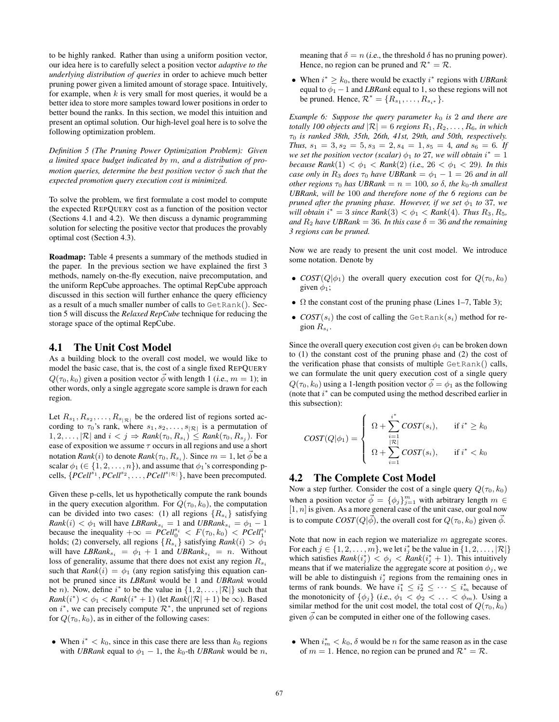to be highly ranked. Rather than using a uniform position vector, our idea here is to carefully select a position vector *adaptive to the underlying distribution of queries* in order to achieve much better pruning power given a limited amount of storage space. Intuitively, for example, when  $k$  is very small for most queries, it would be a better idea to store more samples toward lower positions in order to better bound the ranks. In this section, we model this intuition and present an optimal solution. Our high-level goal here is to solve the following optimization problem.

*Definition 5 (The Pruning Power Optimization Problem): Given a limited space budget indicated by* m*, and a distribution of promotion queries, determine the best position vector*  $\vec{\phi}$  *such that the expected promotion query execution cost is minimized.*

To solve the problem, we first formulate a cost model to compute the expected REPQUERY cost as a function of the position vector (Sections 4.1 and 4.2). We then discuss a dynamic programming solution for selecting the positive vector that produces the provably optimal cost (Section 4.3).

Roadmap: Table 4 presents a summary of the methods studied in the paper. In the previous section we have explained the first 3 methods, namely on-the-fly execution, naive precomputation, and the uniform RepCube approaches. The optimal RepCube approach discussed in this section will further enhance the query efficiency as a result of a much smaller number of calls to GetRank(). Section 5 will discuss the *Relaxed RepCube* technique for reducing the storage space of the optimal RepCube.

#### 4.1 The Unit Cost Model

As a building block to the overall cost model, we would like to model the basic case, that is, the cost of a single fixed REPQUERY  $Q(\tau_0, k_0)$  given a position vector  $\vec{\phi}$  with length 1 (*i.e.*,  $m = 1$ ); in other words, only a single aggregate score sample is drawn for each region.

Let  $R_{s_1}, R_{s_2}, \ldots, R_{s_{|\mathcal{R}|}}$  be the ordered list of regions sorted according to  $\tau_0$ 's rank, where  $s_1, s_2, \ldots, s_{|\mathcal{R}|}$  is a permutation of  $1, 2, \ldots, |\mathcal{R}|$  and  $i < j \Rightarrow Rank(\tau_0, R_{s_i}) \leq Rank(\tau_0, R_{s_j})$ . For ease of exposition we assume  $\tau$  occurs in all regions and use a short notation  $Rank(i)$  to denote  $Rank(\tau_0, R_{s_i})$ . Since  $m=1$ , let  $\vec{\phi}$  be a scalar  $\phi_1 \in \{1, 2, ..., n\}$ , and assume that  $\phi_1$ 's corresponding pcells,  $\{PCell^{s_1}, PCell^{s_2}, \ldots, PCell^{s_{|\mathcal{R}|}}\}$ , have been precomputed.

Given these p-cells, let us hypothetically compute the rank bounds in the query execution algorithm. For  $Q(\tau_0, k_0)$ , the computation can be divided into two cases: (1) all regions  $\{R_{s_i}\}\$  satisfying  $Rank(i) < \phi_1$  will have  $LBRank_{s_i} = 1$  and  $UBRank_{s_i} = \phi_1 - 1$ because the inequality  $+\infty = P\text{Cell}_0^{s_i} < F(\tau_0, k_0) < P\text{Cell}_1^{s_i}$ <br>holds; (2) conversely, all regions  $\{R_{s_i}\}$  satisfying  $\text{Rank}(i) > \phi_1$ will have  $\textit{LBRank}_{s_i} = \phi_1 + 1$  and  $\textit{UBRank}_{s_i} = n$ . Without loss of generality, assume that there does not exist any region  $R_{s_i}$ such that  $Rank(i) = \phi_1$  (any region satisfying this equation cannot be pruned since its *LBRank* would be 1 and *UBRank* would be *n*). Now, define  $i^*$  to be the value in  $\{1, 2, ..., |\mathcal{R}|\}$  such that  $Rank(i^*) < \phi_1 < Rank(i^* + 1)$  (let  $Rank(|\mathcal{R}| + 1)$  be  $\infty$ ). Based on  $i^*$ , we can precisely compute  $\mathcal{R}^*$ , the unpruned set of regions for  $Q(\tau_0, k_0)$ , as in either of the following cases:

• When  $i^* < k_0$ , since in this case there are less than  $k_0$  regions with *UBRank* equal to  $\phi_1 - 1$ , the  $k_0$ -th *UBRank* would be *n*, meaning that  $\delta = n$  (*i.e.*, the threshold  $\delta$  has no pruning power). Hence, no region can be pruned and  $\mathcal{R}^* = \mathcal{R}$ .

• When  $i^* \geq k_0$ , there would be exactly  $i^*$  regions with *UBRank* equal to  $\phi_1$  – 1 and *LBRank* equal to 1, so these regions will not be pruned. Hence,  $\mathcal{R}^* = \{R_{s_1}, \dots, R_{s_{i^*}}\}.$ 

*Example 6: Suppose the query parameter*  $k_0$  *is* 2 *and there are totally 100 objects and*  $|\mathcal{R}| = 6$  *regions*  $R_1, R_2, \ldots, R_6$ *, in which* τ<sup>0</sup> *is ranked 38th, 35th, 26th, 41st, 29th, and 50th, respectively. Thus,*  $s_1 = 3$ ,  $s_2 = 5$ ,  $s_3 = 2$ ,  $s_4 = 1$ ,  $s_5 = 4$ , and  $s_6 = 6$ . If *we set the position vector (scalar)*  $\phi_1$  *to* 27*, we will obtain*  $i^* = 1$ *because Rank*(1)  $< \phi_1 <$  *Rank*(2) *(i.e.,* 26  $< \phi_1 <$  29*). In this case only in*  $R_3$  *does*  $\tau_0$  *have UBRank* =  $\phi_1$  – 1 = 26 *and in all other regions*  $\tau_0$  *has UBRank* =  $n = 100$ *, so*  $\delta$ *, the k*<sub>0</sub>-*th smallest UBRank, will be* 100 *and therefore none of the 6 regions can be pruned after the pruning phase. However, if we set*  $\phi_1$  *to* 37*, we will obtain*  $i^* = 3$  *since*  $Rank(3) < \phi_1 < Rank(4)$ *. Thus*  $R_3, R_5$ *, and*  $R_2$  *have* UBRank = 36*.* In this case  $\delta$  = 36 *and the remaining 3 regions can be pruned.*

Now we are ready to present the unit cost model. We introduce some notation. Denote by

- $COST(Q|\phi_1)$  the overall query execution cost for  $Q(\tau_0, k_0)$ given  $\phi_1$ ;
- $\Omega$  the constant cost of the pruning phase (Lines 1–7, Table 3);
- $COST(s_i)$  the cost of calling the GetRank $(s_i)$  method for region  $R_{s_i}$ .

Since the overall query execution cost given  $\phi_1$  can be broken down to (1) the constant cost of the pruning phase and (2) the cost of the verification phase that consists of multiple GetRank() calls, we can formulate the unit query execution cost of a single query  $Q(\tau_0, k_0)$  using a 1-length position vector  $\vec{\phi} = \phi_1$  as the following (note that  $i^*$  can be computed using the method described earlier in this subsection):

$$
COST(Q|\phi_1) = \begin{cases} \Omega + \sum_{i=1}^{i^*} COST(s_i), & \text{if } i^* \ge k_0 \\ \Omega + \sum_{i=1}^{|\mathcal{R}|} COST(s_i), & \text{if } i^* < k_0 \end{cases}
$$

### 4.2 The Complete Cost Model

Now a step further. Consider the cost of a single query  $Q(\tau_0, k_0)$ when a position vector  $\vec{\phi} = {\{\phi_j\}}_{j=1}^m$  with arbitrary length  $m \in$  $[1, n]$  is given. As a more general case of the unit case, our goal now is to compute  $COST(Q|\vec{\phi})$ , the overall cost for  $Q(\tau_0, k_0)$  given  $\vec{\phi}$ .

Note that now in each region we materialize  $m$  aggregate scores. For each  $j \in \{1, 2, \ldots, m\}$ , we let  $i_j^*$  be the value in  $\{1, 2, \ldots, |\mathcal{R}|\}$ which satisfies  $Rank(i_j^*) < \phi_j < Rank(i_j^* + 1)$ . This intuitively means that if we materialize the aggregate score at position  $\phi_j$ , we will be able to distinguish  $i_j^*$  regions from the remaining ones in terms of rank bounds. We have  $i_1^* \leq i_2^* \leq \cdots \leq i_m^*$  because of the monotonicity of  $\{\phi_j\}$  (i.e.,  $\phi_1 < \phi_2 < \ldots < \phi_m$ ). Using a similar method for the unit cost model, the total cost of  $Q(\tau_0, k_0)$ given  $\phi$  can be computed in either one of the following cases.

• When  $i_m^* < k_0$ ,  $\delta$  would be *n* for the same reason as in the case of  $m = 1$ . Hence, no region can be pruned and  $\mathcal{R}^* = \mathcal{R}$ .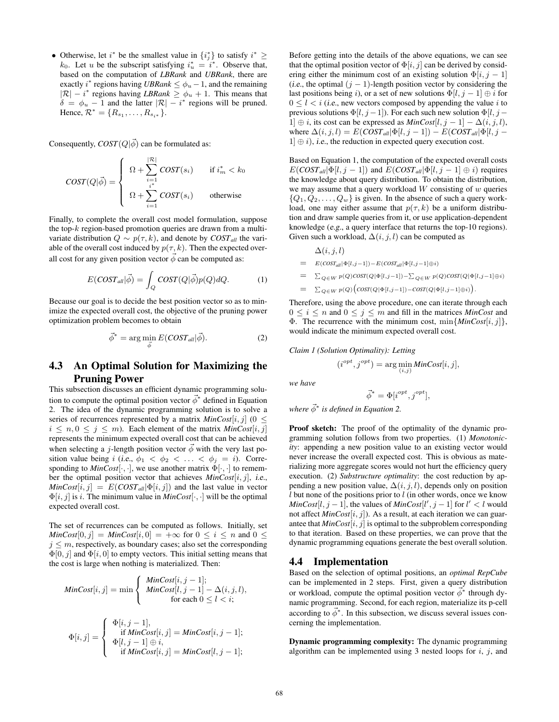• Otherwise, let  $i^*$  be the smallest value in  $\{i_j^*\}$  to satisfy  $i^* \geq$  $k_0$ . Let u be the subscript satisfying  $i_u^* = i^*$ . Observe that, based on the computation of *LBRank* and *UBRank*, there are exactly  $i^*$  regions having *UBRank*  $\leq \phi_u - 1$ , and the remaining  $|R| - i^*$  regions having *LBRank*  $\geq \phi_u + 1$ . This means that  $\delta = \phi_u - 1$  and the latter  $|\mathcal{R}| - i^*$  regions will be pruned. Hence,  $\mathcal{R}^* = \{R_{s_1}, \ldots, R_{s_{i^*}}\}.$ 

Consequently,  $COST(Q|\vec{\phi})$  can be formulated as:

$$
COST(Q|\vec{\phi}) = \begin{cases} \Omega + \sum_{i=1}^{|\mathcal{R}|} COST(s_i) & \text{if } i_m^* < k_0 \\ \Omega + \sum_{i=1}^{i^*} COST(s_i) & \text{otherwise} \end{cases}
$$

Finally, to complete the overall cost model formulation, suppose the top- $k$  region-based promotion queries are drawn from a multivariate distribution  $Q \sim p(\tau, k)$ , and denote by  $COST_{all}$  the variable of the overall cost induced by  $p(\tau, k)$ . Then the expected overall cost for any given position vector  $\vec{\phi}$  can be computed as:

$$
E(COST_{all}|\vec{\phi}) = \int_{Q} COST(Q|\vec{\phi})p(Q)dQ.
$$
 (1)

Because our goal is to decide the best position vector so as to minimize the expected overall cost, the objective of the pruning power optimization problem becomes to obtain

$$
\vec{\phi}^* = \arg\min_{\vec{\phi}} E(COST_{all}|\vec{\phi}).
$$
 (2)

# 4.3 An Optimal Solution for Maximizing the Pruning Power

This subsection discusses an efficient dynamic programming solution to compute the optimal position vector  $\vec{\phi}^*$  defined in Equation 2. The idea of the dynamic programming solution is to solve a series of recurrences represented by a matrix  $MinCost[i, j]$  (0 <  $i \leq n, 0 \leq j \leq m$ ). Each element of the matrix *MinCost*[i, j] represents the minimum expected overall cost that can be achieved when selecting a j-length position vector  $\vec{\phi}$  with the very last position value being i (i.e.,  $\phi_1 < \phi_2 < \ldots < \phi_j = i$ ). Corresponding to  $MinCost[\cdot, \cdot]$ , we use another matrix  $\Phi[\cdot, \cdot]$  to remember the optimal position vector that achieves *MinCost*[i, j], i.e.,  $MinCost[i, j] = E(COST_{all}|\Phi[i, j])$  and the last value in vector  $\Phi[i, j]$  is *i*. The minimum value in *MinCost* $[\cdot, \cdot]$  will be the optimal expected overall cost.

The set of recurrences can be computed as follows. Initially, set  $MinCost[0, j] = MinCost[i, 0] = +\infty$  for  $0 \le i \le n$  and  $0 \le$  $j \leq m$ , respectively, as boundary cases; also set the corresponding  $\Phi[0, j]$  and  $\Phi[i, 0]$  to empty vectors. This initial setting means that the cost is large when nothing is materialized. Then:

$$
MinCost[i, j] = \min \begin{cases} \text{MinCost}[i, j-1];\\ \text{MinCost}[l, j-1] - \Delta(i, j, l),\\ \text{for each } 0 \le l < i; \end{cases}
$$

$$
\Phi[i,j] = \begin{cases}\n\Phi[i,j-1], \\
\text{if MinCost}[i,j] = MinCost[i,j-1]; \\
\Phi[l,j-1] \oplus i, \\
\text{if MinCost}[i,j] = MinCost[l,j-1];\n\end{cases}
$$

Before getting into the details of the above equations, we can see that the optimal position vector of  $\Phi[i, j]$  can be derived by considering either the minimum cost of an existing solution  $\Phi[i, j - 1]$ (*i.e.*, the optimal  $(j - 1)$ -length position vector by considering the last positions being i), or a set of new solutions  $\Phi[i, j - 1] \oplus i$  for  $0 \leq l \leq i$  (*i.e.*, new vectors composed by appending the value *i* to previous solutions  $\Phi[l, j-1]$ ). For each such new solution  $\Phi[l, j-1]$ 1] ⊕ *i*, its cost can be expressed as  $MinCost[l, j - 1] - \Delta(i, j, l)$ , where  $\Delta(i, j, l) = E(COST_{all}|\Phi[l, j - 1]) - E(COST_{all}|\Phi[l, j 1 \nvert \nvert \nvert \nvert \nvert \nvert$ , *i.e.*, the reduction in expected query execution cost.

Based on Equation 1, the computation of the expected overall costs  $E(COST_{all}|\Phi[l, j-1])$  and  $E(COST_{all}|\Phi[l, j-1] \oplus i)$  requires the knowledge about query distribution. To obtain the distribution, we may assume that a query workload  $W$  consisting of  $w$  queries  $\{Q_1, Q_2, \ldots, Q_w\}$  is given. In the absence of such a query workload, one may either assume that  $p(\tau, k)$  be a uniform distribution and draw sample queries from it, or use application-dependent knowledge (e.g., a query interface that returns the top-10 regions). Given such a workload,  $\Delta(i, j, l)$  can be computed as

$$
\Delta(i, j, l)
$$
\n
$$
= E(COST_{all}|\Phi[l, j-1]) - E(COST_{all}|\Phi[l, j-1]\oplus i)
$$
\n
$$
= \sum_{Q \in W} p(Q)COST(Q|\Phi[l, j-1]) - \sum_{Q \in W} p(Q)COST(Q|\Phi[l, j-1]\oplus i)
$$
\n
$$
= \sum_{Q \in W} p(Q) (COST(Q|\Phi[l, j-1]) - COST(Q|\Phi[l, j-1]\oplus i)).
$$

Therefore, using the above procedure, one can iterate through each  $0 \leq i \leq n$  and  $0 \leq j \leq m$  and fill in the matrices *MinCost* and Φ. The recurrence with the minimum cost, min{*MinCost*[i, j]}, would indicate the minimum expected overall cost.

*Claim 1 (Solution Optimality): Letting*

$$
(i^{opt}, j^{opt}) = \arg\min_{(i,j)} MinCost[i, j],
$$

*we have*

$$
\vec{\phi}^* = \Phi[i^{opt}, j^{opt}],
$$

where  $\vec{\phi}^*$  is defined in Equation 2.

Proof sketch: The proof of the optimality of the dynamic programming solution follows from two properties. (1) *Monotonicity*: appending a new position value to an existing vector would never increase the overall expected cost. This is obvious as materializing more aggregate scores would not hurt the efficiency query execution. (2) *Substructure optimality*: the cost reduction by appending a new position value,  $\Delta(i, j, l)$ , depends only on position  $l$  but none of the positions prior to  $l$  (in other words, once we know  $MinCost[l, j - 1]$ , the values of  $MinCost[l', j - 1]$  for  $l' < l$  would not affect  $MinCost[i, j]$ ). As a result, at each iteration we can guarantee that  $MinCost[i, j]$  is optimal to the subproblem corresponding to that iteration. Based on these properties, we can prove that the dynamic programming equations generate the best overall solution.

### 4.4 Implementation

Based on the selection of optimal positions, an *optimal RepCube* can be implemented in 2 steps. First, given a query distribution or workload, compute the optimal position vector  $\vec{\phi}^*$  through dynamic programming. Second, for each region, materialize its p-cell according to  $\vec{\phi}^*$ . In this subsection, we discuss several issues concerning the implementation.

Dynamic programming complexity: The dynamic programming algorithm can be implemented using 3 nested loops for  $i$ ,  $j$ , and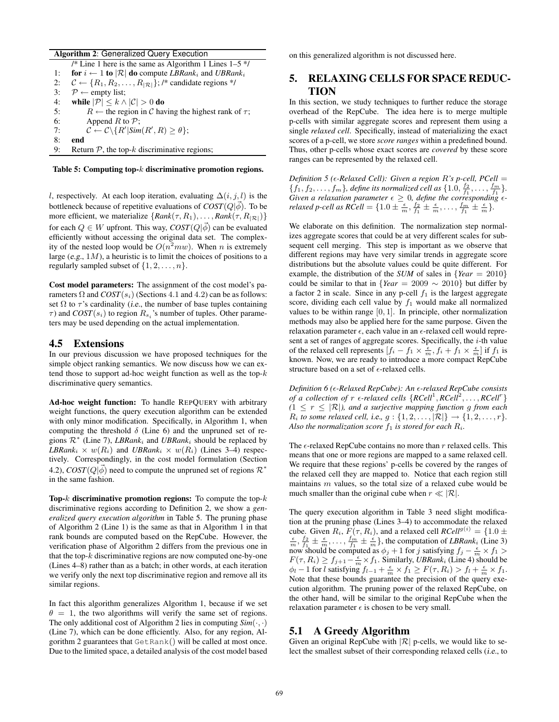#### Algorithm 2: Generalized Query Execution

/\* Line 1 here is the same as Algorithm 1 Lines  $1-5$  \*/ 1: for  $i \leftarrow 1$  to  $|\mathcal{R}|$  do compute *LBRank<sub>i</sub>* and *UBRank<sub>i</sub>* 2:  $C \leftarrow \{R_1, R_2, \ldots, R_{|\mathcal{R}|}\};$  /\* candidate regions \*/ 3:  $\mathcal{P} \leftarrow \text{empty list};$ 4: while  $|\mathcal{P}| \leq k \wedge |\mathcal{C}| > 0$  do 5:  $R \leftarrow$  the region in C having the highest rank of  $\tau$ ; 6: Append  $R$  to  $\mathcal{P}$ ; 7:  $\mathcal{C} \leftarrow \mathcal{C} \setminus \{R' | Sim(R', R) \geq \theta\};$ 8: end 9: Return  $P$ , the top- $k$  discriminative regions;

#### Table 5: Computing top-k discriminative promotion regions.

l, respectively. At each loop iteration, evaluating  $\Delta(i, j, l)$  is the bottleneck because of repetitive evaluations of  $\text{COST}(Q|\vec{\phi})$ . To be more efficient, we materialize  $\{Rank(\tau, R_1), \ldots, Rank(\tau, R_{|\mathcal{R}|})\}$ for each  $Q \in W$  upfront. This way,  $COST(Q|\vec{\phi})$  can be evaluated efficiently without accessing the original data set. The complexity of the nested loop would be  $O(n^2 m w)$ . When n is extremely large  $(e.g., 1M)$ , a heuristic is to limit the choices of positions to a regularly sampled subset of  $\{1, 2, \ldots, n\}$ .

Cost model parameters: The assignment of the cost model's parameters  $\Omega$  and  $COST(s_i)$  (Sections 4.1 and 4.2) can be as follows: set  $\Omega$  to  $\tau$ 's cardinality (*i.e.*, the number of base tuples containing  $\tau$ ) and  $COST(s_i)$  to region  $R_{s_i}$ 's number of tuples. Other parameters may be used depending on the actual implementation.

#### 4.5 Extensions

In our previous discussion we have proposed techniques for the simple object ranking semantics. We now discuss how we can extend those to support ad-hoc weight function as well as the top- $k$ discriminative query semantics.

Ad-hoc weight function: To handle REPQUERY with arbitrary weight functions, the query execution algorithm can be extended with only minor modification. Specifically, in Algorithm 1, when computing the threshold  $\delta$  (Line 6) and the unpruned set of regions  $\mathcal{R}^*$  (Line 7), *LBRank<sub>i</sub>* and *UBRank<sub>i</sub>* should be replaced by *LBRank*<sub>i</sub>  $\times$   $w(R_i)$  and *UBRank*<sub>i</sub>  $\times$   $w(R_i)$  (Lines 3–4) respectively. Correspondingly, in the cost model formulation (Section 4.2),  $COST(Q|\vec{\phi})$  need to compute the unpruned set of regions  $\mathcal{R}^*$ in the same fashion.

Top- $k$  discriminative promotion regions: To compute the top- $k$ discriminative regions according to Definition 2, we show a *generalized query execution algorithm* in Table 5. The pruning phase of Algorithm 2 (Line 1) is the same as that in Algorithm 1 in that rank bounds are computed based on the RepCube. However, the verification phase of Algorithm 2 differs from the previous one in that the top- $k$  discriminative regions are now computed one-by-one (Lines 4–8) rather than as a batch; in other words, at each iteration we verify only the next top discriminative region and remove all its similar regions.

In fact this algorithm generalizes Algorithm 1, because if we set  $\theta = 1$ , the two algorithms will verify the same set of regions. The only additional cost of Algorithm 2 lies in computing  $Sim(\cdot, \cdot)$ (Line 7), which can be done efficiently. Also, for any region, Algorithm 2 guarantees that GetRank() will be called at most once. Due to the limited space, a detailed analysis of the cost model based on this generalized algorithm is not discussed here.

# 5. RELAXING CELLS FOR SPACE REDUC-TION

In this section, we study techniques to further reduce the storage overhead of the RepCube. The idea here is to merge multiple p-cells with similar aggregate scores and represent them using a single *relaxed cell*. Specifically, instead of materializing the exact scores of a p-cell, we store *score ranges* within a predefined bound. Thus, other p-cells whose exact scores are *covered* by these score ranges can be represented by the relaxed cell.

*Definition 5 (* $\epsilon$ *-Relaxed Cell): Given a region R's p-cell, PCell* =  $\{f_1, f_2, \ldots, f_m\}$ , define its normalized cell as  $\{1.0, \frac{f_2}{f_1}, \ldots, \frac{f_m}{f_1}\}$ . *Given a relaxation parameter*  $\epsilon \geq 0$ *, define the corresponding*  $\epsilon$ *relaxed p-cell as*  $RCell = \{1.0 \pm \frac{\epsilon}{m}, \frac{f_2}{f_1} \pm \frac{\epsilon}{m}, \ldots, \frac{f_m}{f_1} \pm \frac{\epsilon}{m}\}.$ 

We elaborate on this definition. The normalization step normalizes aggregate scores that could be at very different scales for subsequent cell merging. This step is important as we observe that different regions may have very similar trends in aggregate score distributions but the absolute values could be quite different. For example, the distribution of the *SUM* of sales in {*Year* = 2010} could be similar to that in  ${Year = 2009 \sim 2010}$  but differ by a factor 2 in scale. Since in any p-cell  $f_1$  is the largest aggregate score, dividing each cell value by  $f_1$  would make all normalized values to be within range [0, 1]. In principle, other normalization methods may also be applied here for the same purpose. Given the relaxation parameter  $\epsilon$ , each value in an  $\epsilon$ -relaxed cell would represent a set of ranges of aggregate scores. Specifically, the  $i$ -th value of the relaxed cell represents  $[f_i - f_1 \times \frac{\epsilon}{m}, f_i + f_1 \times \frac{\epsilon}{m}]$  if  $f_1$  is known. Now, we are ready to introduce a more compact RepCube structure based on a set of  $\epsilon\text{-relaxed cells.}$ 

*Definition 6 (*²*-Relaxed RepCube): An* ²*-relaxed RepCube consists of a collection of*  $r \in$ *-relaxed cells*  ${RCell}^1, {RCell}^2, \ldots, {RCell}^r$  $(1 \leq r \leq |\mathcal{R}|)$ , and a surjective mapping function g from each  $R_i$  *to some relaxed cell, i.e., g* :  $\{1, 2, ..., |\mathcal{R}|\} \rightarrow \{1, 2, ..., r\}.$ Also the normalization score  $f_1$  is stored for each  $R_i$ .

The  $\epsilon$ -relaxed RepCube contains no more than r relaxed cells. This means that one or more regions are mapped to a same relaxed cell. We require that these regions' p-cells be covered by the ranges of the relaxed cell they are mapped to. Notice that each region still maintains m values, so the total size of a relaxed cube would be much smaller than the original cube when  $r \ll |\mathcal{R}|$ .

The query execution algorithm in Table 3 need slight modification at the pruning phase (Lines 3–4) to accommodate the relaxed cube. Given  $R_i$ ,  $F(\tau, R_i)$ , and a relaxed cell  $RCell^{g(i)} = \{1.0 \pm \pi\}$  $\frac{\epsilon}{m}, \frac{f_2}{f_1} \pm \frac{\epsilon}{m}, \ldots, \frac{f_m}{f_1} \pm \frac{\epsilon}{m}$ , the computation of *LBRank*<sub>i</sub> (Line 3) now should be computed as  $\phi_j + 1$  for j satisfying  $f_j - \frac{\epsilon}{m} \times f_1 >$  $F(\tau, R_i) \ge f_{j+1} - \frac{\epsilon}{m} \times f_1$ . Similarly, *UBRank<sub>i</sub>* (Line 4) should be  $\phi_l - 1$  for l satisfying  $f_{l-1} + \frac{\epsilon}{m} \times f_1 \ge F(\tau, R_i) > f_l + \frac{\epsilon}{m} \times f_1$ . Note that these bounds guarantee the precision of the query execution algorithm. The pruning power of the relaxed RepCube, on the other hand, will be similar to the original RepCube when the relaxation parameter  $\epsilon$  is chosen to be very small.

## 5.1 A Greedy Algorithm

Given an original RepCube with  $|\mathcal{R}|$  p-cells, we would like to select the smallest subset of their corresponding relaxed cells (i.e., to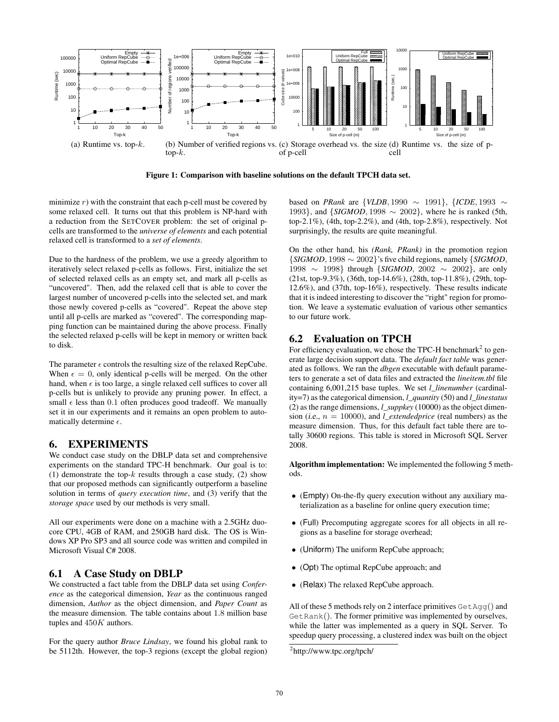

Figure 1: Comparison with baseline solutions on the default TPCH data set.

minimize  $r$ ) with the constraint that each p-cell must be covered by some relaxed cell. It turns out that this problem is NP-hard with a reduction from the SETCOVER problem: the set of original pcells are transformed to the *universe of elements* and each potential relaxed cell is transformed to a *set of elements*.

Due to the hardness of the problem, we use a greedy algorithm to iteratively select relaxed p-cells as follows. First, initialize the set of selected relaxed cells as an empty set, and mark all p-cells as "uncovered". Then, add the relaxed cell that is able to cover the largest number of uncovered p-cells into the selected set, and mark those newly covered p-cells as "covered". Repeat the above step until all p-cells are marked as "covered". The corresponding mapping function can be maintained during the above process. Finally the selected relaxed p-cells will be kept in memory or written back to disk.

The parameter  $\epsilon$  controls the resulting size of the relaxed RepCube. When  $\epsilon = 0$ , only identical p-cells will be merged. On the other hand, when  $\epsilon$  is too large, a single relaxed cell suffices to cover all p-cells but is unlikely to provide any pruning power. In effect, a small  $\epsilon$  less than 0.1 often produces good tradeoff. We manually set it in our experiments and it remains an open problem to automatically determine  $\epsilon$ .

# 6. EXPERIMENTS

We conduct case study on the DBLP data set and comprehensive experiments on the standard TPC-H benchmark. Our goal is to: (1) demonstrate the top- $k$  results through a case study, (2) show that our proposed methods can significantly outperform a baseline solution in terms of *query execution time*, and (3) verify that the *storage space* used by our methods is very small.

All our experiments were done on a machine with a 2.5GHz duocore CPU, 4GB of RAM, and 250GB hard disk. The OS is Windows XP Pro SP3 and all source code was written and compiled in Microsoft Visual C# 2008.

# 6.1 A Case Study on DBLP

We constructed a fact table from the DBLP data set using *Conference* as the categorical dimension, *Year* as the continuous ranged dimension, *Author* as the object dimension, and *Paper Count* as the measure dimension. The table contains about 1.8 million base tuples and  $450K$  authors.

For the query author *Bruce Lindsay*, we found his global rank to be 5112th. However, the top-3 regions (except the global region) based on *PRank* are {*VLDB*, 1990 ∼ 1991}, {*ICDE*, 1993 ∼ 1993}, and {*SIGMOD*, 1998 ∼ 2002}, where he is ranked (5th, top-2.1%), (4th, top-2.2%), and (4th, top-2.8%), respectively. Not surprisingly, the results are quite meaningful.

On the other hand, his *(Rank, PRank)* in the promotion region {*SIGMOD*, 1998 ∼ 2002}'s five child regions, namely {*SIGMOD*, 1998 ∼ 1998} through {*SIGMOD*, 2002 ∼ 2002}, are only (21st, top-9.3%), (36th, top-14.6%), (28th, top-11.8%), (29th, top-12.6%), and (37th, top-16%), respectively. These results indicate that it is indeed interesting to discover the "right" region for promotion. We leave a systematic evaluation of various other semantics to our future work.

# 6.2 Evaluation on TPCH

For efficiency evaluation, we chose the TPC-H benchmark<sup>2</sup> to generate large decision support data. The *default fact table* was generated as follows. We ran the *dbgen* executable with default parameters to generate a set of data files and extracted the *lineitem.tbl* file containing 6,001,215 base tuples. We set *l\_linenumber* (cardinality=7) as the categorical dimension, *l\_quantity* (50) and *l\_linestatus* (2) as the range dimensions, *l\_suppkey* (10000) as the object dimension (*i.e.*,  $n = 10000$ ), and *l\_extendedprice* (real numbers) as the measure dimension. Thus, for this default fact table there are totally 30600 regions. This table is stored in Microsoft SQL Server 2008.

Algorithm implementation: We implemented the following 5 methods.

- (Empty) On-the-fly query execution without any auxiliary materialization as a baseline for online query execution time;
- (Full) Precomputing aggregate scores for all objects in all regions as a baseline for storage overhead;
- (Uniform) The uniform RepCube approach;
- (Opt) The optimal RepCube approach; and
- (Relax) The relaxed RepCube approach.

All of these 5 methods rely on 2 interface primitives  $\text{GetAqq}()$  and GetRank(). The former primitive was implemented by ourselves, while the latter was implemented as a query in SQL Server. To speedup query processing, a clustered index was built on the object

<sup>&</sup>lt;sup>2</sup>http://www.tpc.org/tpch/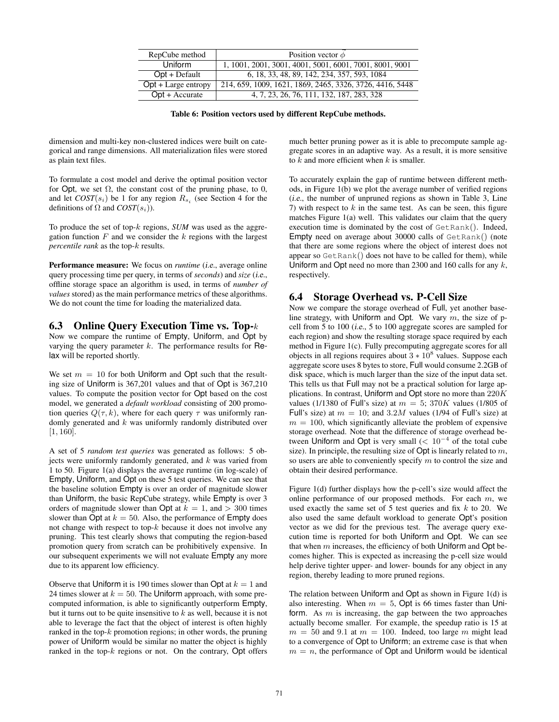| RepCube method                  | Position vector $\phi$                                   |
|---------------------------------|----------------------------------------------------------|
| <b>Uniform</b>                  | 1, 1001, 2001, 3001, 4001, 5001, 6001, 7001, 8001, 9001  |
| $Opt + Default$                 | 6, 18, 33, 48, 89, 142, 234, 357, 593, 1084              |
| $\overline{Opt + Large$ entropy | 214, 659, 1009, 1621, 1869, 2465, 3326, 3726, 4416, 5448 |
| $Opt + Accurate$                | 4, 7, 23, 26, 76, 111, 132, 187, 283, 328                |

Table 6: Position vectors used by different RepCube methods.

dimension and multi-key non-clustered indices were built on categorical and range dimensions. All materialization files were stored as plain text files.

To formulate a cost model and derive the optimal position vector for Opt, we set  $\Omega$ , the constant cost of the pruning phase, to 0, and let  $COST(s_i)$  be 1 for any region  $R_{s_i}$  (see Section 4 for the definitions of  $\Omega$  and  $COST(s_i)$ ).

To produce the set of top-k regions, *SUM* was used as the aggregation function  $F$  and we consider the  $k$  regions with the largest *percentile rank* as the top-k results.

Performance measure: We focus on *runtime* (*i.e.*, average online query processing time per query, in terms of *seconds*) and *size* (i.e., offline storage space an algorithm is used, in terms of *number of values* stored) as the main performance metrics of these algorithms. We do not count the time for loading the materialized data.

#### 6.3 Online Query Execution Time vs. Top-k

Now we compare the runtime of Empty, Uniform, and Opt by varying the query parameter  $k$ . The performance results for  $Re$ lax will be reported shortly.

We set  $m = 10$  for both Uniform and Opt such that the resulting size of Uniform is 367,201 values and that of Opt is 367,210 values. To compute the position vector for Opt based on the cost model, we generated a *default workload* consisting of 200 promotion queries  $Q(\tau, k)$ , where for each query  $\tau$  was uniformly randomly generated and  $k$  was uniformly randomly distributed over [1, 160].

A set of 5 *random test queries* was generated as follows: 5 objects were uniformly randomly generated, and  $k$  was varied from 1 to 50. Figure 1(a) displays the average runtime (in log-scale) of Empty, Uniform, and Opt on these 5 test queries. We can see that the baseline solution Empty is over an order of magnitude slower than Uniform, the basic RepCube strategy, while Empty is over 3 orders of magnitude slower than Opt at  $k = 1$ , and  $> 300$  times slower than Opt at  $k = 50$ . Also, the performance of Empty does not change with respect to top-k because it does not involve any pruning. This test clearly shows that computing the region-based promotion query from scratch can be prohibitively expensive. In our subsequent experiments we will not evaluate Empty any more due to its apparent low efficiency.

Observe that Uniform it is 190 times slower than Opt at  $k = 1$  and 24 times slower at  $k = 50$ . The Uniform approach, with some precomputed information, is able to significantly outperform Empty, but it turns out to be quite insensitive to  $k$  as well, because it is not able to leverage the fact that the object of interest is often highly ranked in the top- $k$  promotion regions; in other words, the pruning power of Uniform would be similar no matter the object is highly ranked in the top- $k$  regions or not. On the contrary, Opt offers

much better pruning power as it is able to precompute sample aggregate scores in an adaptive way. As a result, it is more sensitive to  $k$  and more efficient when  $k$  is smaller.

To accurately explain the gap of runtime between different methods, in Figure 1(b) we plot the average number of verified regions (i.e., the number of unpruned regions as shown in Table 3, Line 7) with respect to  $k$  in the same test. As can be seen, this figure matches Figure 1(a) well. This validates our claim that the query execution time is dominated by the cost of GetRank(). Indeed, Empty need on average about 30000 calls of GetRank() (note that there are some regions where the object of interest does not appear so GetRank() does not have to be called for them), while Uniform and Opt need no more than 2300 and 160 calls for any  $k$ , respectively.

### 6.4 Storage Overhead vs. P-Cell Size

Now we compare the storage overhead of Full, yet another baseline strategy, with Uniform and Opt. We vary  $m$ , the size of pcell from 5 to 100 (i.e., 5 to 100 aggregate scores are sampled for each region) and show the resulting storage space required by each method in Figure 1(c). Fully precomputing aggregate scores for all objects in all regions requires about  $3 * 10<sup>8</sup>$  values. Suppose each aggregate score uses 8 bytes to store, Full would consume 2.2GB of disk space, which is much larger than the size of the input data set. This tells us that Full may not be a practical solution for large applications. In contrast, Uniform and Opt store no more than  $220K$ values (1/1380 of Full's size) at  $m = 5$ ; 370K values (1/805 of Full's size) at  $m = 10$ ; and 3.2M values (1/94 of Full's size) at  $m = 100$ , which significantly alleviate the problem of expensive storage overhead. Note that the difference of storage overhead between Uniform and Opt is very small  $(< 10^{-4}$  of the total cube size). In principle, the resulting size of  $Opt$  is linearly related to  $m$ , so users are able to conveniently specify  $m$  to control the size and obtain their desired performance.

Figure 1(d) further displays how the p-cell's size would affect the online performance of our proposed methods. For each  $m$ , we used exactly the same set of  $5$  test queries and fix  $k$  to 20. We also used the same default workload to generate Opt's position vector as we did for the previous test. The average query execution time is reported for both Uniform and Opt. We can see that when  $m$  increases, the efficiency of both Uniform and Opt becomes higher. This is expected as increasing the p-cell size would help derive tighter upper- and lower- bounds for any object in any region, thereby leading to more pruned regions.

The relation between Uniform and Opt as shown in Figure 1(d) is also interesting. When  $m = 5$ , Opt is 66 times faster than Uniform. As  $m$  is increasing, the gap between the two approaches actually become smaller. For example, the speedup ratio is 15 at  $m = 50$  and 9.1 at  $m = 100$ . Indeed, too large m might lead to a convergence of Opt to Uniform; an extreme case is that when  $m = n$ , the performance of Opt and Uniform would be identical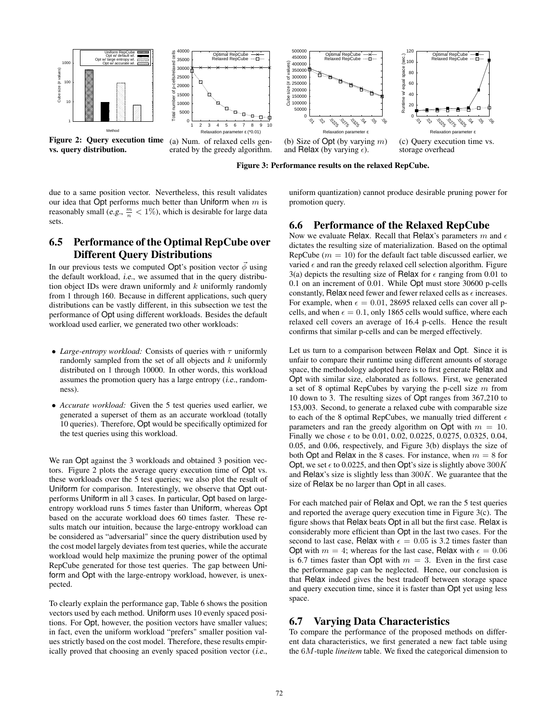

vs. query distribution.

Figure 2: Query execution time (a) Num. of relaxed cells generated by the greedy algorithm.

(b) Size of Opt (by varying  $m$ ) and Relax (by varying  $\epsilon$ ).

Figure 3: Performance results on the relaxed RepCube.

(c) Query execution time vs. storage overhead

due to a same position vector. Nevertheless, this result validates our idea that Opt performs much better than Uniform when  $m$  is reasonably small (e.g.,  $\frac{m}{n} < 1\%$ ), which is desirable for large data sets.

# 6.5 Performance of the Optimal RepCube over Different Query Distributions

In our previous tests we computed Opt's position vector  $\vec{\phi}$  using the default workload, i.e., we assumed that in the query distribution object IDs were drawn uniformly and  $k$  uniformly randomly from 1 through 160. Because in different applications, such query distributions can be vastly different, in this subsection we test the performance of Opt using different workloads. Besides the default workload used earlier, we generated two other workloads:

- *Large-entropy workload:* Consists of queries with  $\tau$  uniformly randomly sampled from the set of all objects and  $k$  uniformly distributed on 1 through 10000. In other words, this workload assumes the promotion query has a large entropy (i.e., randomness).
- *Accurate workload:* Given the 5 test queries used earlier, we generated a superset of them as an accurate workload (totally 10 queries). Therefore, Opt would be specifically optimized for the test queries using this workload.

We ran Opt against the 3 workloads and obtained 3 position vectors. Figure 2 plots the average query execution time of Opt vs. these workloads over the 5 test queries; we also plot the result of Uniform for comparison. Interestingly, we observe that Opt outperforms Uniform in all 3 cases. In particular, Opt based on largeentropy workload runs 5 times faster than Uniform, whereas Opt based on the accurate workload does 60 times faster. These results match our intuition, because the large-entropy workload can be considered as "adversarial" since the query distribution used by the cost model largely deviates from test queries, while the accurate workload would help maximize the pruning power of the optimal RepCube generated for those test queries. The gap between Uniform and Opt with the large-entropy workload, however, is unexpected.

To clearly explain the performance gap, Table 6 shows the position vectors used by each method. Uniform uses 10 evenly spaced positions. For Opt, however, the position vectors have smaller values; in fact, even the uniform workload "prefers" smaller position values strictly based on the cost model. Therefore, these results empirically proved that choosing an evenly spaced position vector (i.e., uniform quantization) cannot produce desirable pruning power for promotion query.

# 6.6 Performance of the Relaxed RepCube

Now we evaluate Relax. Recall that Relax's parameters m and  $\epsilon$ dictates the resulting size of materialization. Based on the optimal RepCube ( $m = 10$ ) for the default fact table discussed earlier, we varied  $\epsilon$  and ran the greedy relaxed cell selection algorithm. Figure 3(a) depicts the resulting size of Relax for  $\epsilon$  ranging from 0.01 to 0.1 on an increment of 0.01. While Opt must store 30600 p-cells constantly, Relax need fewer and fewer relaxed cells as  $\epsilon$  increases. For example, when  $\epsilon = 0.01$ , 28695 relaxed cells can cover all pcells, and when  $\epsilon = 0.1$ , only 1865 cells would suffice, where each relaxed cell covers an average of 16.4 p-cells. Hence the result confirms that similar p-cells and can be merged effectively.

Let us turn to a comparison between Relax and Opt. Since it is unfair to compare their runtime using different amounts of storage space, the methodology adopted here is to first generate Relax and Opt with similar size, elaborated as follows. First, we generated a set of 8 optimal RepCubes by varying the p-cell size  $m$  from 10 down to 3. The resulting sizes of Opt ranges from 367,210 to 153,003. Second, to generate a relaxed cube with comparable size to each of the 8 optimal RepCubes, we manually tried different  $\epsilon$ parameters and ran the greedy algorithm on Opt with  $m = 10$ . Finally we chose  $\epsilon$  to be 0.01, 0.02, 0.0225, 0.0275, 0.0325, 0.04, 0.05, and 0.06, respectively, and Figure 3(b) displays the size of both Opt and Relax in the 8 cases. For instance, when  $m = 8$  for Opt, we set  $\epsilon$  to 0.0225, and then Opt's size is slightly above 300K and Relax's size is slightly less than  $300K$ . We guarantee that the size of Relax be no larger than Opt in all cases.

For each matched pair of Relax and Opt, we ran the 5 test queries and reported the average query execution time in Figure 3(c). The figure shows that Relax beats Opt in all but the first case. Relax is considerably more efficient than Opt in the last two cases. For the second to last case, Relax with  $\epsilon = 0.05$  is 3.2 times faster than Opt with  $m = 4$ ; whereas for the last case, Relax with  $\epsilon = 0.06$ is 6.7 times faster than Opt with  $m = 3$ . Even in the first case the performance gap can be neglected. Hence, our conclusion is that Relax indeed gives the best tradeoff between storage space and query execution time, since it is faster than Opt yet using less space.

# 6.7 Varying Data Characteristics

To compare the performance of the proposed methods on different data characteristics, we first generated a new fact table using the 6M-tuple *lineitem* table. We fixed the categorical dimension to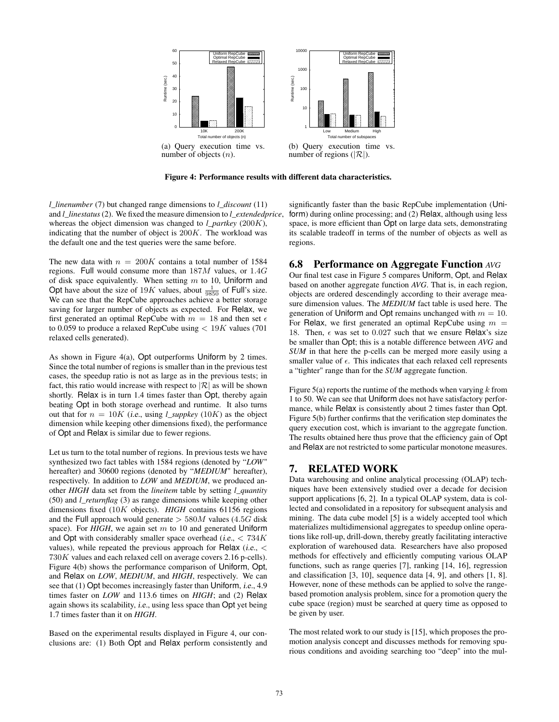

Figure 4: Performance results with different data characteristics.

*l\_linenumber* (7) but changed range dimensions to *l\_discount* (11) and *l\_linestatus*(2). We fixed the measure dimension to *l\_extendedprice*, whereas the object dimension was changed to *l\_partkey* (200K), indicating that the number of object is  $200K$ . The workload was the default one and the test queries were the same before.

The new data with  $n = 200K$  contains a total number of 1584 regions. Full would consume more than 187M values, or 1.4G of disk space equivalently. When setting  $m$  to 10, Uniform and Opt have about the size of 19K values, about  $\frac{1}{9850}$  of Full's size. We can see that the RepCube approaches achieve a better storage saving for larger number of objects as expected. For Relax, we first generated an optimal RepCube with  $m = 18$  and then set  $\epsilon$ to 0.059 to produce a relaxed RepCube using  $< 19K$  values (701) relaxed cells generated).

As shown in Figure 4(a), Opt outperforms Uniform by 2 times. Since the total number of regions is smaller than in the previous test cases, the speedup ratio is not as large as in the previous tests; in fact, this ratio would increase with respect to  $|\mathcal{R}|$  as will be shown shortly. Relax is in turn 1.4 times faster than Opt, thereby again beating Opt in both storage overhead and runtime. It also turns out that for  $n = 10K$  (i.e., using *l\_suppkey* (10K) as the object dimension while keeping other dimensions fixed), the performance of Opt and Relax is similar due to fewer regions.

Let us turn to the total number of regions. In previous tests we have synthesized two fact tables with 1584 regions (denoted by "*LOW*" hereafter) and 30600 regions (denoted by "*MEDIUM*" hereafter), respectively. In addition to *LOW* and *MEDIUM*, we produced another *HIGH* data set from the *lineitem* table by setting *l\_quantity* (50) and *l\_returnflag* (3) as range dimensions while keeping other dimensions fixed (10K objects). *HIGH* contains 61156 regions and the Full approach would generate  $> 580M$  values (4.5G disk space). For *HIGH*, we again set m to 10 and generated Uniform and Opt with considerably smaller space overhead (*i.e.*,  $\lt$  734K) values), while repeated the previous approach for Relax (*i.e.*,  $\lt$ 730K values and each relaxed cell on average covers 2.16 p-cells). Figure 4(b) shows the performance comparison of Uniform, Opt, and Relax on *LOW*, *MEDIUM*, and *HIGH*, respectively. We can see that (1) Opt becomes increasingly faster than Uniform, i.e., 4.9 times faster on *LOW* and 113.6 times on *HIGH*; and (2) Relax again shows its scalability, i.e., using less space than Opt yet being 1.7 times faster than it on *HIGH*.

Based on the experimental results displayed in Figure 4, our conclusions are: (1) Both Opt and Relax perform consistently and

significantly faster than the basic RepCube implementation (Uniform) during online processing; and (2) Relax, although using less space, is more efficient than Opt on large data sets, demonstrating its scalable tradeoff in terms of the number of objects as well as regions.

### 6.8 Performance on Aggregate Function *AVG*

Our final test case in Figure 5 compares Uniform, Opt, and Relax based on another aggregate function *AVG*. That is, in each region, objects are ordered descendingly according to their average measure dimension values. The *MEDIUM* fact table is used here. The generation of Uniform and Opt remains unchanged with  $m = 10$ . For Relax, we first generated an optimal RepCube using  $m =$ 18. Then,  $\epsilon$  was set to 0.027 such that we ensure Relax's size be smaller than Opt; this is a notable difference between *AVG* and *SUM* in that here the p-cells can be merged more easily using a smaller value of  $\epsilon$ . This indicates that each relaxed cell represents a "tighter" range than for the *SUM* aggregate function.

Figure 5(a) reports the runtime of the methods when varying  $k$  from 1 to 50. We can see that Uniform does not have satisfactory performance, while Relax is consistently about 2 times faster than Opt. Figure 5(b) further confirms that the verification step dominates the query execution cost, which is invariant to the aggregate function. The results obtained here thus prove that the efficiency gain of Opt and Relax are not restricted to some particular monotone measures.

# 7. RELATED WORK

Data warehousing and online analytical processing (OLAP) techniques have been extensively studied over a decade for decision support applications [6, 2]. In a typical OLAP system, data is collected and consolidated in a repository for subsequent analysis and mining. The data cube model [5] is a widely accepted tool which materializes multidimensional aggregates to speedup online operations like roll-up, drill-down, thereby greatly facilitating interactive exploration of warehoused data. Researchers have also proposed methods for effectively and efficiently computing various OLAP functions, such as range queries [7], ranking [14, 16], regression and classification [3, 10], sequence data [4, 9], and others [1, 8]. However, none of these methods can be applied to solve the rangebased promotion analysis problem, since for a promotion query the cube space (region) must be searched at query time as opposed to be given by user.

The most related work to our study is [15], which proposes the promotion analysis concept and discusses methods for removing spurious conditions and avoiding searching too "deep" into the mul-